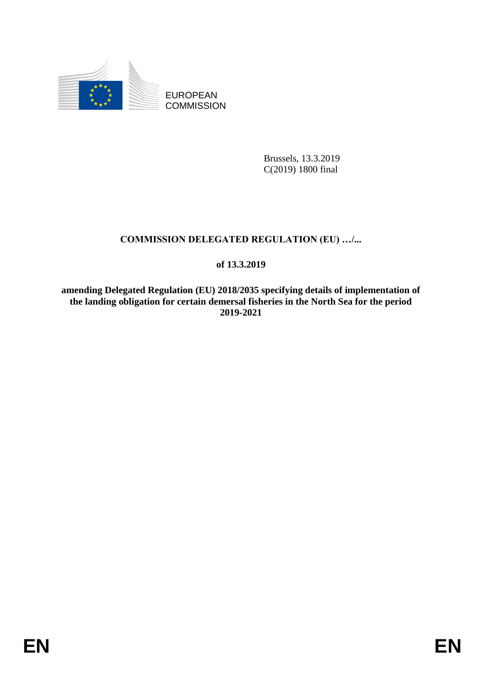

EUROPEAN **COMMISSION** 

> Brussels, 13.3.2019 C(2019) 1800 final

# **COMMISSION DELEGATED REGULATION (EU) …/...**

## **of 13.3.2019**

**amending Delegated Regulation (EU) 2018/2035 specifying details of implementation of the landing obligation for certain demersal fisheries in the North Sea for the period 2019-2021**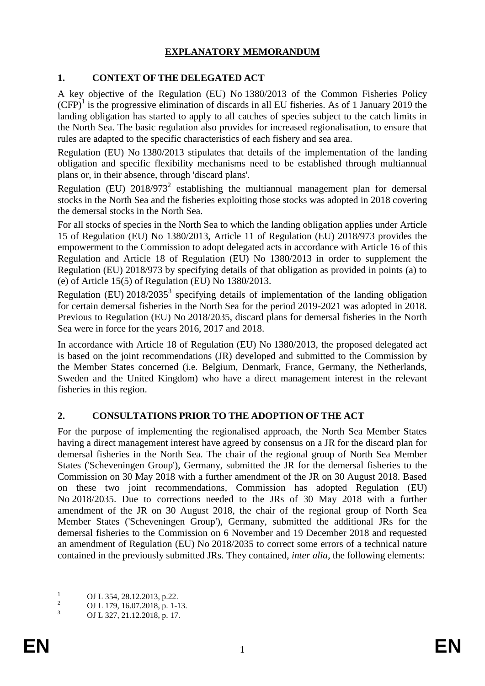## **EXPLANATORY MEMORANDUM**

## **1. CONTEXT OF THE DELEGATED ACT**

A key objective of the Regulation (EU) No 1380/2013 of the Common Fisheries Policy  $(CFP)<sup>1</sup>$  is the progressive elimination of discards in all EU fisheries. As of 1 January 2019 the landing obligation has started to apply to all catches of species subject to the catch limits in the North Sea. The basic regulation also provides for increased regionalisation, to ensure that rules are adapted to the specific characteristics of each fishery and sea area.

Regulation (EU) No 1380/2013 stipulates that details of the implementation of the landing obligation and specific flexibility mechanisms need to be established through multiannual plans or, in their absence, through 'discard plans'.

Regulation (EU)  $2018/973^2$  establishing the multiannual management plan for demersal stocks in the North Sea and the fisheries exploiting those stocks was adopted in 2018 covering the demersal stocks in the North Sea.

For all stocks of species in the North Sea to which the landing obligation applies under Article 15 of Regulation (EU) No 1380/2013, Article 11 of Regulation (EU) 2018/973 provides the empowerment to the Commission to adopt delegated acts in accordance with Article 16 of this Regulation and Article 18 of Regulation (EU) No 1380/2013 in order to supplement the Regulation (EU) 2018/973 by specifying details of that obligation as provided in points (a) to (e) of Article 15(5) of Regulation (EU) No 1380/2013.

Regulation (EU)  $2018/2035^3$  specifying details of implementation of the landing obligation for certain demersal fisheries in the North Sea for the period 2019-2021 was adopted in 2018. Previous to Regulation (EU) No 2018/2035, discard plans for demersal fisheries in the North Sea were in force for the years 2016, 2017 and 2018.

In accordance with Article 18 of Regulation (EU) No 1380/2013, the proposed delegated act is based on the joint recommendations (JR) developed and submitted to the Commission by the Member States concerned (i.e. Belgium, Denmark, France, Germany, the Netherlands, Sweden and the United Kingdom) who have a direct management interest in the relevant fisheries in this region.

### **2. CONSULTATIONS PRIOR TO THE ADOPTION OF THE ACT**

For the purpose of implementing the regionalised approach, the North Sea Member States having a direct management interest have agreed by consensus on a JR for the discard plan for demersal fisheries in the North Sea. The chair of the regional group of North Sea Member States ('Scheveningen Group'), Germany, submitted the JR for the demersal fisheries to the Commission on 30 May 2018 with a further amendment of the JR on 30 August 2018. Based on these two joint recommendations, Commission has adopted Regulation (EU) No 2018/2035. Due to corrections needed to the JRs of 30 May 2018 with a further amendment of the JR on 30 August 2018, the chair of the regional group of North Sea Member States ('Scheveningen Group'), Germany, submitted the additional JRs for the demersal fisheries to the Commission on 6 November and 19 December 2018 and requested an amendment of Regulation (EU) No 2018/2035 to correct some errors of a technical nature contained in the previously submitted JRs. They contained, *inter alia*, the following elements:

 $\mathbf{1}$  $\frac{1}{2}$  OJ L 354, 28.12.2013, p.22.

<sup>&</sup>lt;sup>2</sup> OJ L 179, 16.07.2018, p. 1-13.

<sup>3</sup> OJ L 327, 21.12.2018, p. 17.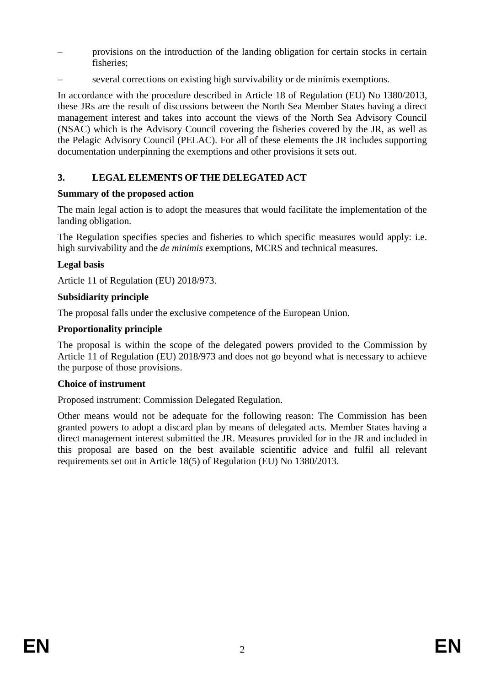- provisions on the introduction of the landing obligation for certain stocks in certain fisheries;
- several corrections on existing high survivability or de minimis exemptions.

In accordance with the procedure described in Article 18 of Regulation (EU) No 1380/2013, these JRs are the result of discussions between the North Sea Member States having a direct management interest and takes into account the views of the North Sea Advisory Council (NSAC) which is the Advisory Council covering the fisheries covered by the JR, as well as the Pelagic Advisory Council (PELAC). For all of these elements the JR includes supporting documentation underpinning the exemptions and other provisions it sets out.

## **3. LEGAL ELEMENTS OF THE DELEGATED ACT**

### **Summary of the proposed action**

The main legal action is to adopt the measures that would facilitate the implementation of the landing obligation.

The Regulation specifies species and fisheries to which specific measures would apply: i.e. high survivability and the *de minimis* exemptions, MCRS and technical measures.

## **Legal basis**

Article 11 of Regulation (EU) 2018/973.

### **Subsidiarity principle**

The proposal falls under the exclusive competence of the European Union.

## **Proportionality principle**

The proposal is within the scope of the delegated powers provided to the Commission by Article 11 of Regulation (EU) 2018/973 and does not go beyond what is necessary to achieve the purpose of those provisions.

### **Choice of instrument**

Proposed instrument: Commission Delegated Regulation.

Other means would not be adequate for the following reason: The Commission has been granted powers to adopt a discard plan by means of delegated acts. Member States having a direct management interest submitted the JR. Measures provided for in the JR and included in this proposal are based on the best available scientific advice and fulfil all relevant requirements set out in Article 18(5) of Regulation (EU) No 1380/2013.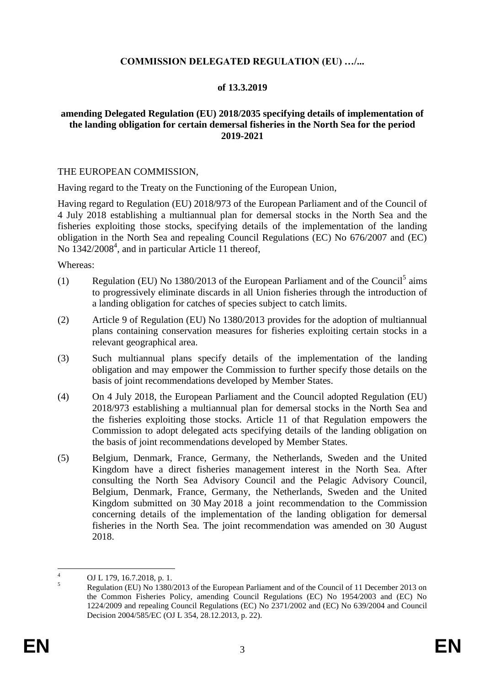#### **COMMISSION DELEGATED REGULATION (EU) …/...**

#### **of 13.3.2019**

#### **amending Delegated Regulation (EU) 2018/2035 specifying details of implementation of the landing obligation for certain demersal fisheries in the North Sea for the period 2019-2021**

#### THE EUROPEAN COMMISSION,

Having regard to the Treaty on the Functioning of the European Union,

Having regard to Regulation (EU) 2018/973 of the European Parliament and of the Council of 4 July 2018 establishing a multiannual plan for demersal stocks in the North Sea and the fisheries exploiting those stocks, specifying details of the implementation of the landing obligation in the North Sea and repealing Council Regulations (EC) No 676/2007 and (EC) No 1342/2008<sup>4</sup>, and in particular Article 11 thereof,

Whereas:

- (1) Regulation (EU) No 1380/2013 of the European Parliament and of the Council<sup>5</sup> aims to progressively eliminate discards in all Union fisheries through the introduction of a landing obligation for catches of species subject to catch limits.
- (2) Article 9 of Regulation (EU) No 1380/2013 provides for the adoption of multiannual plans containing conservation measures for fisheries exploiting certain stocks in a relevant geographical area.
- (3) Such multiannual plans specify details of the implementation of the landing obligation and may empower the Commission to further specify those details on the basis of joint recommendations developed by Member States.
- (4) On 4 July 2018, the European Parliament and the Council adopted Regulation (EU) 2018/973 establishing a multiannual plan for demersal stocks in the North Sea and the fisheries exploiting those stocks. Article 11 of that Regulation empowers the Commission to adopt delegated acts specifying details of the landing obligation on the basis of joint recommendations developed by Member States.
- (5) Belgium, Denmark, France, Germany, the Netherlands, Sweden and the United Kingdom have a direct fisheries management interest in the North Sea. After consulting the North Sea Advisory Council and the Pelagic Advisory Council, Belgium, Denmark, France, Germany, the Netherlands, Sweden and the United Kingdom submitted on 30 May 2018 a joint recommendation to the Commission concerning details of the implementation of the landing obligation for demersal fisheries in the North Sea. The joint recommendation was amended on 30 August 2018.

 $\overline{4}$  $^{4}$  OJ L 179, 16.7.2018, p. 1.<br>Prophetics (EU) N<sub>2</sub>, 1290/

<sup>5</sup> Regulation (EU) No 1380/2013 of the European Parliament and of the Council of 11 December 2013 on the Common Fisheries Policy, amending Council Regulations (EC) No 1954/2003 and (EC) No 1224/2009 and repealing Council Regulations (EC) No 2371/2002 and (EC) No 639/2004 and Council Decision 2004/585/EC (OJ L 354, 28.12.2013, p. 22).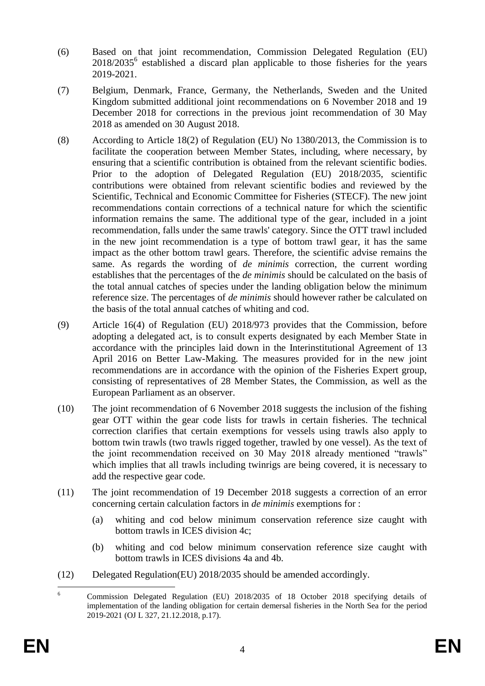- (6) Based on that joint recommendation*,* Commission Delegated Regulation (EU) 2018/2035<sup>6</sup> established a discard plan applicable to those fisheries for the years 2019-2021.
- (7) Belgium, Denmark, France, Germany, the Netherlands, Sweden and the United Kingdom submitted additional joint recommendations on 6 November 2018 and 19 December 2018 for corrections in the previous joint recommendation of 30 May 2018 as amended on 30 August 2018.
- (8) According to Article 18(2) of Regulation (EU) No 1380/2013, the Commission is to facilitate the cooperation between Member States, including, where necessary, by ensuring that a scientific contribution is obtained from the relevant scientific bodies. Prior to the adoption of Delegated Regulation (EU) 2018/2035, scientific contributions were obtained from relevant scientific bodies and reviewed by the Scientific, Technical and Economic Committee for Fisheries (STECF). The new joint recommendations contain corrections of a technical nature for which the scientific information remains the same. The additional type of the gear, included in a joint recommendation, falls under the same trawls' category. Since the OTT trawl included in the new joint recommendation is a type of bottom trawl gear, it has the same impact as the other bottom trawl gears. Therefore, the scientific advise remains the same. As regards the wording of *de minimis* correction, the current wording establishes that the percentages of the *de minimis* should be calculated on the basis of the total annual catches of species under the landing obligation below the minimum reference size. The percentages of *de minimis* should however rather be calculated on the basis of the total annual catches of whiting and cod.
- (9) Article 16(4) of Regulation (EU) 2018/973 provides that the Commission, before adopting a delegated act, is to consult experts designated by each Member State in accordance with the principles laid down in the Interinstitutional Agreement of 13 April 2016 on Better Law-Making. The measures provided for in the new joint recommendations are in accordance with the opinion of the Fisheries Expert group, consisting of representatives of 28 Member States, the Commission, as well as the European Parliament as an observer.
- (10) The joint recommendation of 6 November 2018 suggests the inclusion of the fishing gear OTT within the gear code lists for trawls in certain fisheries. The technical correction clarifies that certain exemptions for vessels using trawls also apply to bottom twin trawls (two trawls rigged together, trawled by one vessel). As the text of the joint recommendation received on 30 May 2018 already mentioned "trawls" which implies that all trawls including twinrigs are being covered, it is necessary to add the respective gear code.
- (11) The joint recommendation of 19 December 2018 suggests a correction of an error concerning certain calculation factors in *de minimis* exemptions for :
	- (a) whiting and cod below minimum conservation reference size caught with bottom trawls in ICES division 4c;
	- (b) whiting and cod below minimum conservation reference size caught with bottom trawls in ICES divisions 4a and 4b.
- (12) Delegated Regulation(EU) 2018/2035 should be amended accordingly.

 $\overline{6}$ <sup>6</sup> Commission Delegated Regulation (EU) 2018/2035 of 18 October 2018 specifying details of implementation of the landing obligation for certain demersal fisheries in the North Sea for the period 2019-2021 (OJ L 327, 21.12.2018, p.17).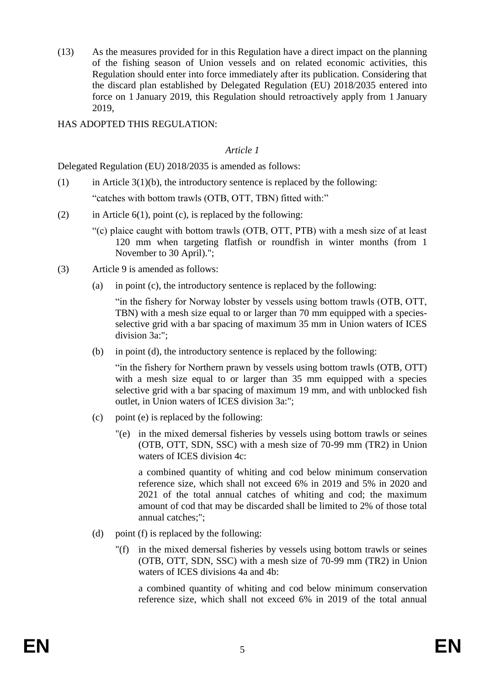(13) As the measures provided for in this Regulation have a direct impact on the planning of the fishing season of Union vessels and on related economic activities, this Regulation should enter into force immediately after its publication. Considering that the discard plan established by Delegated Regulation (EU) 2018/2035 entered into force on 1 January 2019, this Regulation should retroactively apply from 1 January 2019,

HAS ADOPTED THIS REGULATION:

#### *Article 1*

Delegated Regulation (EU) 2018/2035 is amended as follows:

- (1) in Article  $3(1)(b)$ , the introductory sentence is replaced by the following: "catches with bottom trawls (OTB, OTT, TBN) fitted with:"
- (2) in Article  $6(1)$ , point (c), is replaced by the following:
	- "(c) plaice caught with bottom trawls (OTB, OTT, PTB) with a mesh size of at least 120 mm when targeting flatfish or roundfish in winter months (from 1 November to 30 April).";
- (3) Article 9 is amended as follows:
	- (a) in point (c), the introductory sentence is replaced by the following:

"in the fishery for Norway lobster by vessels using bottom trawls (OTB, OTT, TBN) with a mesh size equal to or larger than 70 mm equipped with a speciesselective grid with a bar spacing of maximum 35 mm in Union waters of ICES division 3a:";

(b) in point (d), the introductory sentence is replaced by the following:

"in the fishery for Northern prawn by vessels using bottom trawls (OTB, OTT) with a mesh size equal to or larger than 35 mm equipped with a species selective grid with a bar spacing of maximum 19 mm, and with unblocked fish outlet, in Union waters of ICES division 3a:";

- (c) point (e) is replaced by the following:
	- "(e) in the mixed demersal fisheries by vessels using bottom trawls or seines (OTB, OTT, SDN, SSC) with a mesh size of 70-99 mm (TR2) in Union waters of ICES division 4c:

a combined quantity of whiting and cod below minimum conservation reference size, which shall not exceed 6% in 2019 and 5% in 2020 and 2021 of the total annual catches of whiting and cod; the maximum amount of cod that may be discarded shall be limited to 2% of those total annual catches;";

- (d) point (f) is replaced by the following:
	- "(f) in the mixed demersal fisheries by vessels using bottom trawls or seines (OTB, OTT, SDN, SSC) with a mesh size of 70-99 mm (TR2) in Union waters of ICES divisions 4a and 4b:

a combined quantity of whiting and cod below minimum conservation reference size, which shall not exceed 6% in 2019 of the total annual